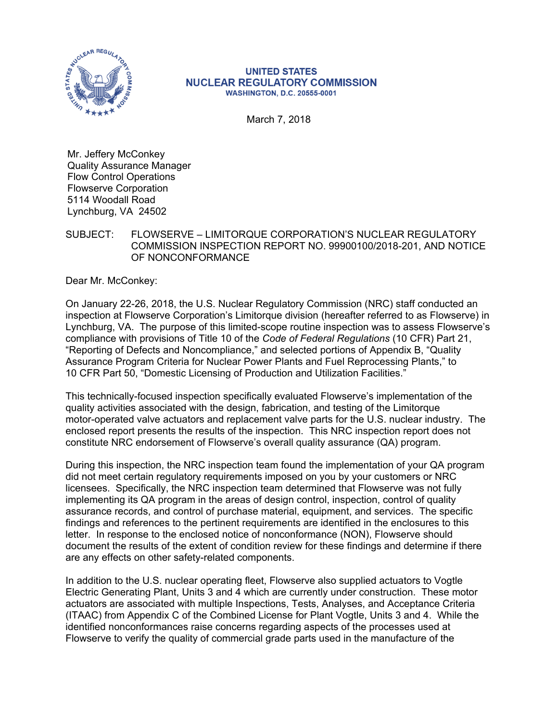

#### **UNITED STATES NUCLEAR REGULATORY COMMISSION WASHINGTON, D.C. 20555-0001**

March 7, 2018

Mr. Jeffery McConkey Quality Assurance Manager Flow Control Operations Flowserve Corporation 5114 Woodall Road Lynchburg, VA 24502

SUBJECT: FLOWSERVE – LIMITORQUE CORPORATION'S NUCLEAR REGULATORY COMMISSION INSPECTION REPORT NO. 99900100/2018-201, AND NOTICE OF NONCONFORMANCE

Dear Mr. McConkey:

On January 22-26, 2018, the U.S. Nuclear Regulatory Commission (NRC) staff conducted an inspection at Flowserve Corporation's Limitorque division (hereafter referred to as Flowserve) in Lynchburg, VA. The purpose of this limited-scope routine inspection was to assess Flowserve's compliance with provisions of Title 10 of the *Code of Federal Regulations* (10 CFR) Part 21, "Reporting of Defects and Noncompliance," and selected portions of Appendix B, "Quality Assurance Program Criteria for Nuclear Power Plants and Fuel Reprocessing Plants," to 10 CFR Part 50, "Domestic Licensing of Production and Utilization Facilities."

This technically-focused inspection specifically evaluated Flowserve's implementation of the quality activities associated with the design, fabrication, and testing of the Limitorque motor-operated valve actuators and replacement valve parts for the U.S. nuclear industry. The enclosed report presents the results of the inspection. This NRC inspection report does not constitute NRC endorsement of Flowserve's overall quality assurance (QA) program.

During this inspection, the NRC inspection team found the implementation of your QA program did not meet certain regulatory requirements imposed on you by your customers or NRC licensees. Specifically, the NRC inspection team determined that Flowserve was not fully implementing its QA program in the areas of design control, inspection, control of quality assurance records, and control of purchase material, equipment, and services. The specific findings and references to the pertinent requirements are identified in the enclosures to this letter. In response to the enclosed notice of nonconformance (NON), Flowserve should document the results of the extent of condition review for these findings and determine if there are any effects on other safety-related components.

In addition to the U.S. nuclear operating fleet, Flowserve also supplied actuators to Vogtle Electric Generating Plant, Units 3 and 4 which are currently under construction. These motor actuators are associated with multiple Inspections, Tests, Analyses, and Acceptance Criteria (ITAAC) from Appendix C of the Combined License for Plant Vogtle, Units 3 and 4. While the identified nonconformances raise concerns regarding aspects of the processes used at Flowserve to verify the quality of commercial grade parts used in the manufacture of the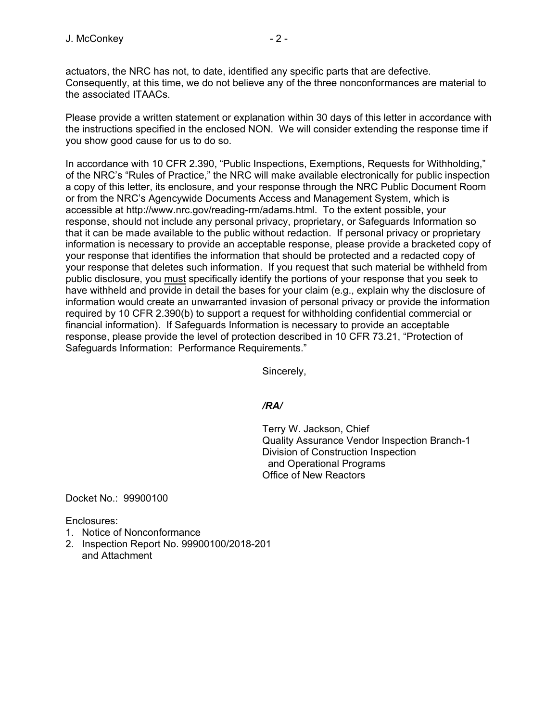actuators, the NRC has not, to date, identified any specific parts that are defective. Consequently, at this time, we do not believe any of the three nonconformances are material to the associated ITAACs.

Please provide a written statement or explanation within 30 days of this letter in accordance with the instructions specified in the enclosed NON. We will consider extending the response time if you show good cause for us to do so.

In accordance with 10 CFR 2.390, "Public Inspections, Exemptions, Requests for Withholding," of the NRC's "Rules of Practice," the NRC will make available electronically for public inspection a copy of this letter, its enclosure, and your response through the NRC Public Document Room or from the NRC's Agencywide Documents Access and Management System, which is accessible at http://www.nrc.gov/reading-rm/adams.html. To the extent possible, your response, should not include any personal privacy, proprietary, or Safeguards Information so that it can be made available to the public without redaction. If personal privacy or proprietary information is necessary to provide an acceptable response, please provide a bracketed copy of your response that identifies the information that should be protected and a redacted copy of your response that deletes such information. If you request that such material be withheld from public disclosure, you must specifically identify the portions of your response that you seek to have withheld and provide in detail the bases for your claim (e.g., explain why the disclosure of information would create an unwarranted invasion of personal privacy or provide the information required by 10 CFR 2.390(b) to support a request for withholding confidential commercial or financial information). If Safeguards Information is necessary to provide an acceptable response, please provide the level of protection described in 10 CFR 73.21, "Protection of Safeguards Information: Performance Requirements."

Sincerely,

# */RA/*

Terry W. Jackson, Chief Quality Assurance Vendor Inspection Branch-1 Division of Construction Inspection and Operational Programs Office of New Reactors

Docket No.: 99900100

Enclosures:

- 1. Notice of Nonconformance
- 2. Inspection Report No. 99900100/2018-201 and Attachment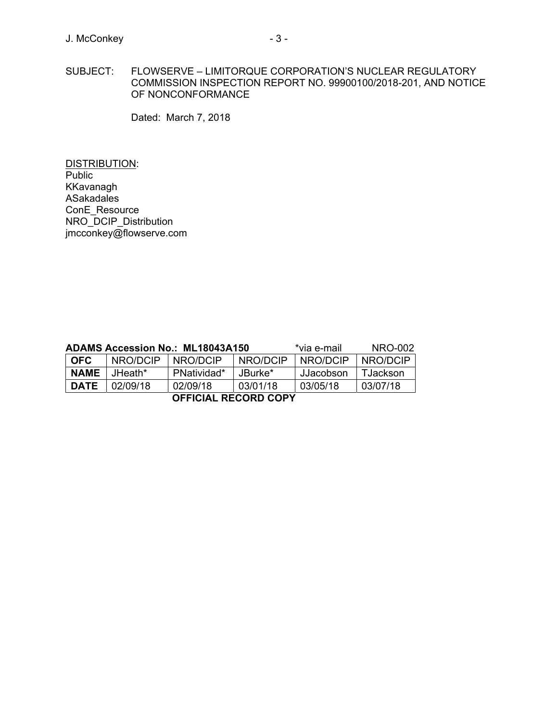SUBJECT: FLOWSERVE – LIMITORQUE CORPORATION'S NUCLEAR REGULATORY COMMISSION INSPECTION REPORT NO. 99900100/2018-201, AND NOTICE OF NONCONFORMANCE

Dated: March 7, 2018

DISTRIBUTION: **Public** KKavanagh ASakadales ConE\_Resource NRO\_DCIP\_Distribution jmcconkey@flowserve.com

| ADAMS Accession No.: ML18043A150 |          |             |          | *via e-mail | NRO-002  |
|----------------------------------|----------|-------------|----------|-------------|----------|
| <b>OFC</b>                       | NRO/DCIP | NRO/DCIP    | NRO/DCIP | NRO/DCIP    | NRO/DCIP |
| <b>NAME</b>                      | JHeath*  | PNatividad* | JBurke*  | JJacobson   | TJackson |
| <b>DATE</b>                      | 02/09/18 | 02/09/18    | 03/01/18 | 03/05/18    | 03/07/18 |
| <b>OFFICIAL RECORD COPY</b>      |          |             |          |             |          |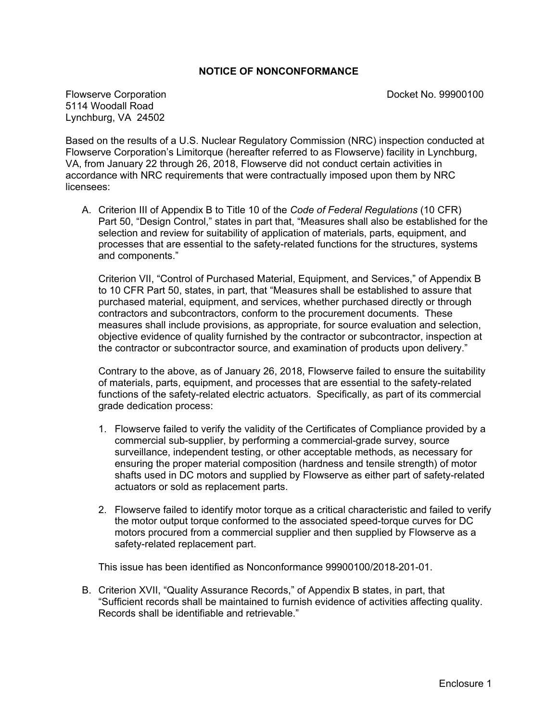# **NOTICE OF NONCONFORMANCE**

Flowserve Corporation Docket No. 99900100 5114 Woodall Road Lynchburg, VA 24502

Based on the results of a U.S. Nuclear Regulatory Commission (NRC) inspection conducted at Flowserve Corporation's Limitorque (hereafter referred to as Flowserve) facility in Lynchburg, VA, from January 22 through 26, 2018, Flowserve did not conduct certain activities in accordance with NRC requirements that were contractually imposed upon them by NRC licensees:

A. Criterion III of Appendix B to Title 10 of the *Code of Federal Regulations* (10 CFR) Part 50, "Design Control," states in part that, "Measures shall also be established for the selection and review for suitability of application of materials, parts, equipment, and processes that are essential to the safety-related functions for the structures, systems and components."

Criterion VII, "Control of Purchased Material, Equipment, and Services," of Appendix B to 10 CFR Part 50, states, in part, that "Measures shall be established to assure that purchased material, equipment, and services, whether purchased directly or through contractors and subcontractors, conform to the procurement documents. These measures shall include provisions, as appropriate, for source evaluation and selection, objective evidence of quality furnished by the contractor or subcontractor, inspection at the contractor or subcontractor source, and examination of products upon delivery."

Contrary to the above, as of January 26, 2018, Flowserve failed to ensure the suitability of materials, parts, equipment, and processes that are essential to the safety-related functions of the safety-related electric actuators. Specifically, as part of its commercial grade dedication process:

- 1. Flowserve failed to verify the validity of the Certificates of Compliance provided by a commercial sub-supplier, by performing a commercial-grade survey, source surveillance, independent testing, or other acceptable methods, as necessary for ensuring the proper material composition (hardness and tensile strength) of motor shafts used in DC motors and supplied by Flowserve as either part of safety-related actuators or sold as replacement parts.
- 2. Flowserve failed to identify motor torque as a critical characteristic and failed to verify the motor output torque conformed to the associated speed-torque curves for DC motors procured from a commercial supplier and then supplied by Flowserve as a safety-related replacement part.

This issue has been identified as Nonconformance 99900100/2018-201-01.

B. Criterion XVII, "Quality Assurance Records," of Appendix B states, in part, that "Sufficient records shall be maintained to furnish evidence of activities affecting quality. Records shall be identifiable and retrievable."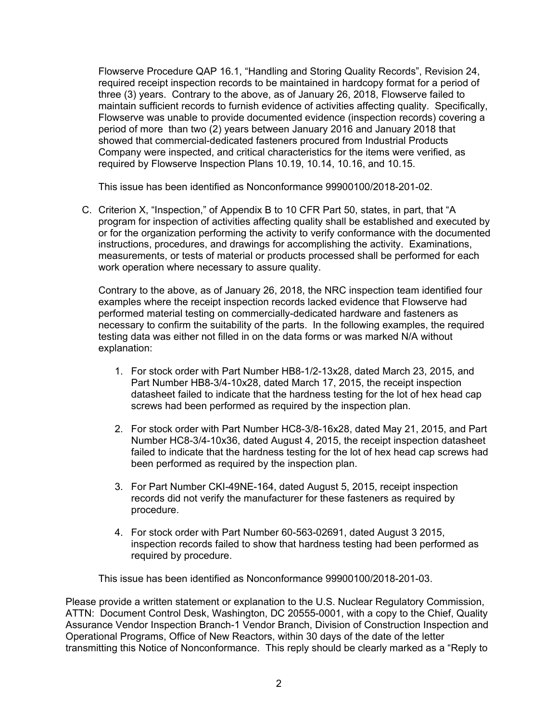Flowserve Procedure QAP 16.1, "Handling and Storing Quality Records", Revision 24, required receipt inspection records to be maintained in hardcopy format for a period of three (3) years. Contrary to the above, as of January 26, 2018, Flowserve failed to maintain sufficient records to furnish evidence of activities affecting quality. Specifically, Flowserve was unable to provide documented evidence (inspection records) covering a period of more than two (2) years between January 2016 and January 2018 that showed that commercial-dedicated fasteners procured from Industrial Products Company were inspected, and critical characteristics for the items were verified, as required by Flowserve Inspection Plans 10.19, 10.14, 10.16, and 10.15.

This issue has been identified as Nonconformance 99900100/2018-201-02.

C. Criterion X, "Inspection," of Appendix B to 10 CFR Part 50, states, in part, that "A program for inspection of activities affecting quality shall be established and executed by or for the organization performing the activity to verify conformance with the documented instructions, procedures, and drawings for accomplishing the activity. Examinations, measurements, or tests of material or products processed shall be performed for each work operation where necessary to assure quality.

Contrary to the above, as of January 26, 2018, the NRC inspection team identified four examples where the receipt inspection records lacked evidence that Flowserve had performed material testing on commercially-dedicated hardware and fasteners as necessary to confirm the suitability of the parts. In the following examples, the required testing data was either not filled in on the data forms or was marked N/A without explanation:

- 1. For stock order with Part Number HB8-1/2-13x28, dated March 23, 2015, and Part Number HB8-3/4-10x28, dated March 17, 2015, the receipt inspection datasheet failed to indicate that the hardness testing for the lot of hex head cap screws had been performed as required by the inspection plan.
- 2. For stock order with Part Number HC8-3/8-16x28, dated May 21, 2015, and Part Number HC8-3/4-10x36, dated August 4, 2015, the receipt inspection datasheet failed to indicate that the hardness testing for the lot of hex head cap screws had been performed as required by the inspection plan.
- 3. For Part Number CKI-49NE-164, dated August 5, 2015, receipt inspection records did not verify the manufacturer for these fasteners as required by procedure.
- 4. For stock order with Part Number 60-563-02691, dated August 3 2015, inspection records failed to show that hardness testing had been performed as required by procedure.

This issue has been identified as Nonconformance 99900100/2018-201-03.

Please provide a written statement or explanation to the U.S. Nuclear Regulatory Commission, ATTN: Document Control Desk, Washington, DC 20555-0001, with a copy to the Chief, Quality Assurance Vendor Inspection Branch-1 Vendor Branch, Division of Construction Inspection and Operational Programs, Office of New Reactors, within 30 days of the date of the letter transmitting this Notice of Nonconformance. This reply should be clearly marked as a "Reply to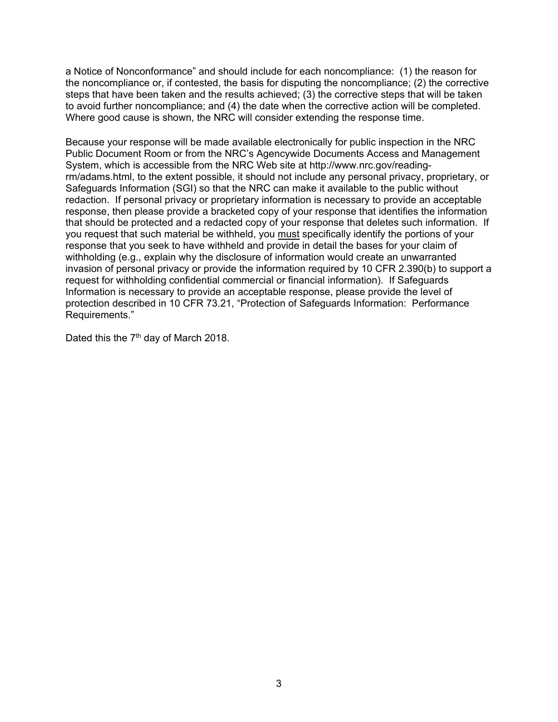a Notice of Nonconformance" and should include for each noncompliance: (1) the reason for the noncompliance or, if contested, the basis for disputing the noncompliance; (2) the corrective steps that have been taken and the results achieved; (3) the corrective steps that will be taken to avoid further noncompliance; and (4) the date when the corrective action will be completed. Where good cause is shown, the NRC will consider extending the response time.

Because your response will be made available electronically for public inspection in the NRC Public Document Room or from the NRC's Agencywide Documents Access and Management System, which is accessible from the NRC Web site at http://www.nrc.gov/readingrm/adams.html, to the extent possible, it should not include any personal privacy, proprietary, or Safeguards Information (SGI) so that the NRC can make it available to the public without redaction. If personal privacy or proprietary information is necessary to provide an acceptable response, then please provide a bracketed copy of your response that identifies the information that should be protected and a redacted copy of your response that deletes such information. If you request that such material be withheld, you must specifically identify the portions of your response that you seek to have withheld and provide in detail the bases for your claim of withholding (e.g., explain why the disclosure of information would create an unwarranted invasion of personal privacy or provide the information required by 10 CFR 2.390(b) to support a request for withholding confidential commercial or financial information). If Safeguards Information is necessary to provide an acceptable response, please provide the level of protection described in 10 CFR 73.21, "Protection of Safeguards Information: Performance Requirements."

Dated this the 7<sup>th</sup> day of March 2018.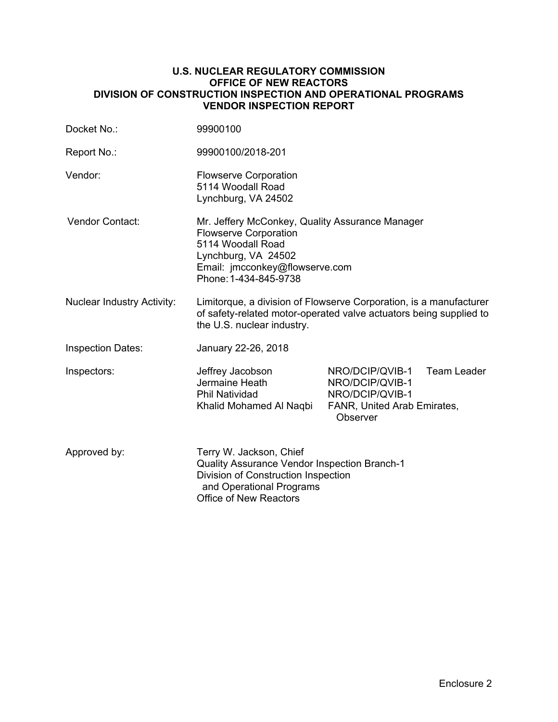## **U.S. NUCLEAR REGULATORY COMMISSION OFFICE OF NEW REACTORS DIVISION OF CONSTRUCTION INSPECTION AND OPERATIONAL PROGRAMS VENDOR INSPECTION REPORT**

| Docket No.:                       | 99900100                                                                                                                                                                               |                                                                                                  |                    |
|-----------------------------------|----------------------------------------------------------------------------------------------------------------------------------------------------------------------------------------|--------------------------------------------------------------------------------------------------|--------------------|
| Report No.:                       | 99900100/2018-201                                                                                                                                                                      |                                                                                                  |                    |
| Vendor:                           | <b>Flowserve Corporation</b><br>5114 Woodall Road<br>Lynchburg, VA 24502                                                                                                               |                                                                                                  |                    |
| Vendor Contact:                   | Mr. Jeffery McConkey, Quality Assurance Manager<br><b>Flowserve Corporation</b><br>5114 Woodall Road<br>Lynchburg, VA 24502<br>Email: jmcconkey@flowserve.com<br>Phone: 1-434-845-9738 |                                                                                                  |                    |
| <b>Nuclear Industry Activity:</b> | Limitorque, a division of Flowserve Corporation, is a manufacturer<br>of safety-related motor-operated valve actuators being supplied to<br>the U.S. nuclear industry.                 |                                                                                                  |                    |
| <b>Inspection Dates:</b>          | January 22-26, 2018                                                                                                                                                                    |                                                                                                  |                    |
| Inspectors:                       | Jeffrey Jacobson<br>Jermaine Heath<br><b>Phil Natividad</b><br>Khalid Mohamed Al Naqbi                                                                                                 | NRO/DCIP/QVIB-1<br>NRO/DCIP/QVIB-1<br>NRO/DCIP/QVIB-1<br>FANR, United Arab Emirates,<br>Observer | <b>Team Leader</b> |
| Approved by:                      | Terry W. Jackson, Chief<br>Quality Assurance Vendor Inspection Branch-1<br>Division of Construction Inspection<br>and Operational Programs<br><b>Office of New Reactors</b>            |                                                                                                  |                    |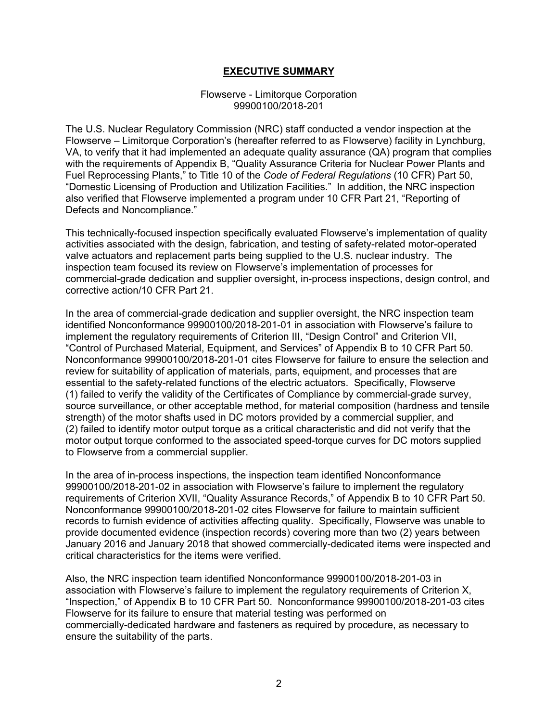## **EXECUTIVE SUMMARY**

### Flowserve - Limitorque Corporation 99900100/2018-201

The U.S. Nuclear Regulatory Commission (NRC) staff conducted a vendor inspection at the Flowserve – Limitorque Corporation's (hereafter referred to as Flowserve) facility in Lynchburg, VA, to verify that it had implemented an adequate quality assurance (QA) program that complies with the requirements of Appendix B, "Quality Assurance Criteria for Nuclear Power Plants and Fuel Reprocessing Plants," to Title 10 of the *Code of Federal Regulations* (10 CFR) Part 50, "Domestic Licensing of Production and Utilization Facilities." In addition, the NRC inspection also verified that Flowserve implemented a program under 10 CFR Part 21, "Reporting of Defects and Noncompliance."

This technically-focused inspection specifically evaluated Flowserve's implementation of quality activities associated with the design, fabrication, and testing of safety-related motor-operated valve actuators and replacement parts being supplied to the U.S. nuclear industry. The inspection team focused its review on Flowserve's implementation of processes for commercial-grade dedication and supplier oversight, in-process inspections, design control, and corrective action/10 CFR Part 21.

In the area of commercial-grade dedication and supplier oversight, the NRC inspection team identified Nonconformance 99900100/2018-201-01 in association with Flowserve's failure to implement the regulatory requirements of Criterion III, "Design Control" and Criterion VII, "Control of Purchased Material, Equipment, and Services" of Appendix B to 10 CFR Part 50. Nonconformance 99900100/2018-201-01 cites Flowserve for failure to ensure the selection and review for suitability of application of materials, parts, equipment, and processes that are essential to the safety-related functions of the electric actuators. Specifically, Flowserve (1) failed to verify the validity of the Certificates of Compliance by commercial-grade survey, source surveillance, or other acceptable method, for material composition (hardness and tensile strength) of the motor shafts used in DC motors provided by a commercial supplier, and (2) failed to identify motor output torque as a critical characteristic and did not verify that the motor output torque conformed to the associated speed-torque curves for DC motors supplied to Flowserve from a commercial supplier.

In the area of in-process inspections, the inspection team identified Nonconformance 99900100/2018-201-02 in association with Flowserve's failure to implement the regulatory requirements of Criterion XVII, "Quality Assurance Records," of Appendix B to 10 CFR Part 50. Nonconformance 99900100/2018-201-02 cites Flowserve for failure to maintain sufficient records to furnish evidence of activities affecting quality. Specifically, Flowserve was unable to provide documented evidence (inspection records) covering more than two (2) years between January 2016 and January 2018 that showed commercially-dedicated items were inspected and critical characteristics for the items were verified.

Also, the NRC inspection team identified Nonconformance 99900100/2018-201-03 in association with Flowserve's failure to implement the regulatory requirements of Criterion X, "Inspection," of Appendix B to 10 CFR Part 50. Nonconformance 99900100/2018-201-03 cites Flowserve for its failure to ensure that material testing was performed on commercially-dedicated hardware and fasteners as required by procedure, as necessary to ensure the suitability of the parts.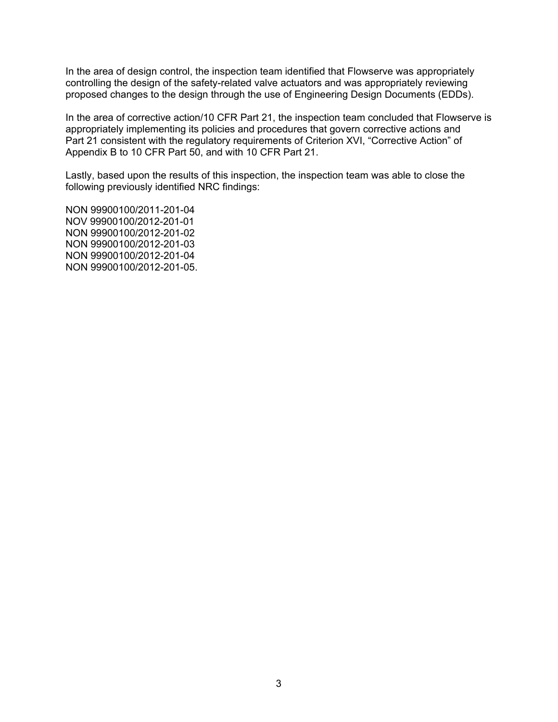In the area of design control, the inspection team identified that Flowserve was appropriately controlling the design of the safety-related valve actuators and was appropriately reviewing proposed changes to the design through the use of Engineering Design Documents (EDDs).

In the area of corrective action/10 CFR Part 21, the inspection team concluded that Flowserve is appropriately implementing its policies and procedures that govern corrective actions and Part 21 consistent with the regulatory requirements of Criterion XVI, "Corrective Action" of Appendix B to 10 CFR Part 50, and with 10 CFR Part 21.

Lastly, based upon the results of this inspection, the inspection team was able to close the following previously identified NRC findings:

NON 99900100/2011-201-04 NOV 99900100/2012-201-01 NON 99900100/2012-201-02 NON 99900100/2012-201-03 NON 99900100/2012-201-04 NON 99900100/2012-201-05.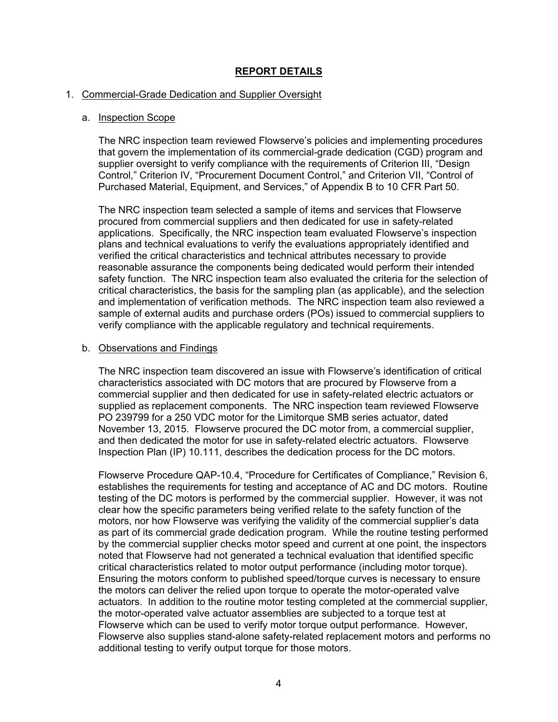# **REPORT DETAILS**

## 1. Commercial-Grade Dedication and Supplier Oversight

## a. Inspection Scope

The NRC inspection team reviewed Flowserve's policies and implementing procedures that govern the implementation of its commercial-grade dedication (CGD) program and supplier oversight to verify compliance with the requirements of Criterion III, "Design Control," Criterion IV, "Procurement Document Control," and Criterion VII, "Control of Purchased Material, Equipment, and Services," of Appendix B to 10 CFR Part 50.

The NRC inspection team selected a sample of items and services that Flowserve procured from commercial suppliers and then dedicated for use in safety-related applications. Specifically, the NRC inspection team evaluated Flowserve's inspection plans and technical evaluations to verify the evaluations appropriately identified and verified the critical characteristics and technical attributes necessary to provide reasonable assurance the components being dedicated would perform their intended safety function. The NRC inspection team also evaluated the criteria for the selection of critical characteristics, the basis for the sampling plan (as applicable), and the selection and implementation of verification methods. The NRC inspection team also reviewed a sample of external audits and purchase orders (POs) issued to commercial suppliers to verify compliance with the applicable regulatory and technical requirements.

### b. Observations and Findings

The NRC inspection team discovered an issue with Flowserve's identification of critical characteristics associated with DC motors that are procured by Flowserve from a commercial supplier and then dedicated for use in safety-related electric actuators or supplied as replacement components. The NRC inspection team reviewed Flowserve PO 239799 for a 250 VDC motor for the Limitorque SMB series actuator, dated November 13, 2015. Flowserve procured the DC motor from, a commercial supplier, and then dedicated the motor for use in safety-related electric actuators. Flowserve Inspection Plan (IP) 10.111, describes the dedication process for the DC motors.

Flowserve Procedure QAP-10.4, "Procedure for Certificates of Compliance," Revision 6, establishes the requirements for testing and acceptance of AC and DC motors. Routine testing of the DC motors is performed by the commercial supplier. However, it was not clear how the specific parameters being verified relate to the safety function of the motors, nor how Flowserve was verifying the validity of the commercial supplier's data as part of its commercial grade dedication program. While the routine testing performed by the commercial supplier checks motor speed and current at one point, the inspectors noted that Flowserve had not generated a technical evaluation that identified specific critical characteristics related to motor output performance (including motor torque). Ensuring the motors conform to published speed/torque curves is necessary to ensure the motors can deliver the relied upon torque to operate the motor-operated valve actuators. In addition to the routine motor testing completed at the commercial supplier, the motor-operated valve actuator assemblies are subjected to a torque test at Flowserve which can be used to verify motor torque output performance. However, Flowserve also supplies stand-alone safety-related replacement motors and performs no additional testing to verify output torque for those motors.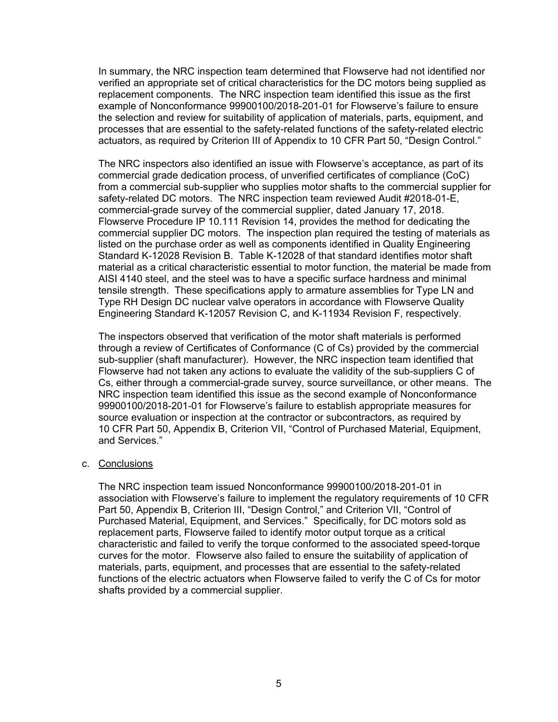In summary, the NRC inspection team determined that Flowserve had not identified nor verified an appropriate set of critical characteristics for the DC motors being supplied as replacement components. The NRC inspection team identified this issue as the first example of Nonconformance 99900100/2018-201-01 for Flowserve's failure to ensure the selection and review for suitability of application of materials, parts, equipment, and processes that are essential to the safety-related functions of the safety-related electric actuators, as required by Criterion III of Appendix to 10 CFR Part 50, "Design Control."

The NRC inspectors also identified an issue with Flowserve's acceptance, as part of its commercial grade dedication process, of unverified certificates of compliance (CoC) from a commercial sub-supplier who supplies motor shafts to the commercial supplier for safety-related DC motors. The NRC inspection team reviewed Audit #2018-01-E, commercial-grade survey of the commercial supplier, dated January 17, 2018. Flowserve Procedure IP 10.111 Revision 14, provides the method for dedicating the commercial supplier DC motors. The inspection plan required the testing of materials as listed on the purchase order as well as components identified in Quality Engineering Standard K-12028 Revision B. Table K-12028 of that standard identifies motor shaft material as a critical characteristic essential to motor function, the material be made from AISI 4140 steel, and the steel was to have a specific surface hardness and minimal tensile strength. These specifications apply to armature assemblies for Type LN and Type RH Design DC nuclear valve operators in accordance with Flowserve Quality Engineering Standard K-12057 Revision C, and K-11934 Revision F, respectively.

The inspectors observed that verification of the motor shaft materials is performed through a review of Certificates of Conformance (C of Cs) provided by the commercial sub-supplier (shaft manufacturer). However, the NRC inspection team identified that Flowserve had not taken any actions to evaluate the validity of the sub-suppliers C of Cs, either through a commercial-grade survey, source surveillance, or other means. The NRC inspection team identified this issue as the second example of Nonconformance 99900100/2018-201-01 for Flowserve's failure to establish appropriate measures for source evaluation or inspection at the contractor or subcontractors, as required by 10 CFR Part 50, Appendix B, Criterion VII, "Control of Purchased Material, Equipment, and Services."

### c. Conclusions

The NRC inspection team issued Nonconformance 99900100/2018-201-01 in association with Flowserve's failure to implement the regulatory requirements of 10 CFR Part 50, Appendix B, Criterion III, "Design Control," and Criterion VII, "Control of Purchased Material, Equipment, and Services." Specifically, for DC motors sold as replacement parts, Flowserve failed to identify motor output torque as a critical characteristic and failed to verify the torque conformed to the associated speed-torque curves for the motor. Flowserve also failed to ensure the suitability of application of materials, parts, equipment, and processes that are essential to the safety-related functions of the electric actuators when Flowserve failed to verify the C of Cs for motor shafts provided by a commercial supplier.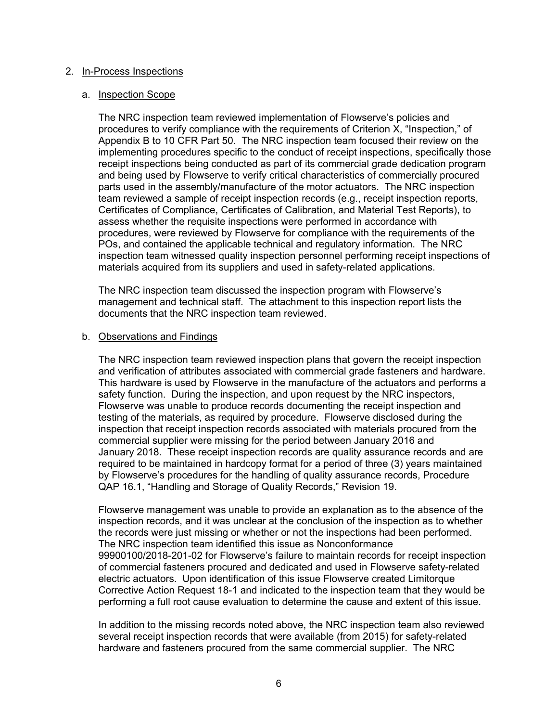### 2. In-Process Inspections

### a. Inspection Scope

The NRC inspection team reviewed implementation of Flowserve's policies and procedures to verify compliance with the requirements of Criterion X, "Inspection," of Appendix B to 10 CFR Part 50. The NRC inspection team focused their review on the implementing procedures specific to the conduct of receipt inspections, specifically those receipt inspections being conducted as part of its commercial grade dedication program and being used by Flowserve to verify critical characteristics of commercially procured parts used in the assembly/manufacture of the motor actuators. The NRC inspection team reviewed a sample of receipt inspection records (e.g., receipt inspection reports, Certificates of Compliance, Certificates of Calibration, and Material Test Reports), to assess whether the requisite inspections were performed in accordance with procedures, were reviewed by Flowserve for compliance with the requirements of the POs, and contained the applicable technical and regulatory information. The NRC inspection team witnessed quality inspection personnel performing receipt inspections of materials acquired from its suppliers and used in safety-related applications.

The NRC inspection team discussed the inspection program with Flowserve's management and technical staff. The attachment to this inspection report lists the documents that the NRC inspection team reviewed.

### b. Observations and Findings

The NRC inspection team reviewed inspection plans that govern the receipt inspection and verification of attributes associated with commercial grade fasteners and hardware. This hardware is used by Flowserve in the manufacture of the actuators and performs a safety function. During the inspection, and upon request by the NRC inspectors, Flowserve was unable to produce records documenting the receipt inspection and testing of the materials, as required by procedure. Flowserve disclosed during the inspection that receipt inspection records associated with materials procured from the commercial supplier were missing for the period between January 2016 and January 2018. These receipt inspection records are quality assurance records and are required to be maintained in hardcopy format for a period of three (3) years maintained by Flowserve's procedures for the handling of quality assurance records, Procedure QAP 16.1, "Handling and Storage of Quality Records," Revision 19.

Flowserve management was unable to provide an explanation as to the absence of the inspection records, and it was unclear at the conclusion of the inspection as to whether the records were just missing or whether or not the inspections had been performed. The NRC inspection team identified this issue as Nonconformance 99900100/2018-201-02 for Flowserve's failure to maintain records for receipt inspection of commercial fasteners procured and dedicated and used in Flowserve safety-related electric actuators. Upon identification of this issue Flowserve created Limitorque Corrective Action Request 18-1 and indicated to the inspection team that they would be performing a full root cause evaluation to determine the cause and extent of this issue.

In addition to the missing records noted above, the NRC inspection team also reviewed several receipt inspection records that were available (from 2015) for safety-related hardware and fasteners procured from the same commercial supplier. The NRC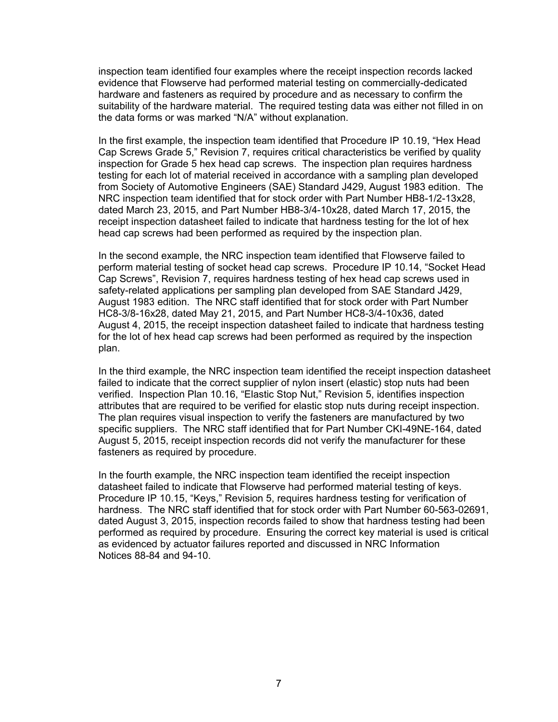inspection team identified four examples where the receipt inspection records lacked evidence that Flowserve had performed material testing on commercially-dedicated hardware and fasteners as required by procedure and as necessary to confirm the suitability of the hardware material. The required testing data was either not filled in on the data forms or was marked "N/A" without explanation.

In the first example, the inspection team identified that Procedure IP 10.19, "Hex Head Cap Screws Grade 5," Revision 7, requires critical characteristics be verified by quality inspection for Grade 5 hex head cap screws. The inspection plan requires hardness testing for each lot of material received in accordance with a sampling plan developed from Society of Automotive Engineers (SAE) Standard J429, August 1983 edition. The NRC inspection team identified that for stock order with Part Number HB8-1/2-13x28, dated March 23, 2015, and Part Number HB8-3/4-10x28, dated March 17, 2015, the receipt inspection datasheet failed to indicate that hardness testing for the lot of hex head cap screws had been performed as required by the inspection plan.

In the second example, the NRC inspection team identified that Flowserve failed to perform material testing of socket head cap screws. Procedure IP 10.14, "Socket Head Cap Screws", Revision 7, requires hardness testing of hex head cap screws used in safety-related applications per sampling plan developed from SAE Standard J429, August 1983 edition. The NRC staff identified that for stock order with Part Number HC8-3/8-16x28, dated May 21, 2015, and Part Number HC8-3/4-10x36, dated August 4, 2015, the receipt inspection datasheet failed to indicate that hardness testing for the lot of hex head cap screws had been performed as required by the inspection plan.

In the third example, the NRC inspection team identified the receipt inspection datasheet failed to indicate that the correct supplier of nylon insert (elastic) stop nuts had been verified. Inspection Plan 10.16, "Elastic Stop Nut," Revision 5, identifies inspection attributes that are required to be verified for elastic stop nuts during receipt inspection. The plan requires visual inspection to verify the fasteners are manufactured by two specific suppliers. The NRC staff identified that for Part Number CKI-49NE-164, dated August 5, 2015, receipt inspection records did not verify the manufacturer for these fasteners as required by procedure.

In the fourth example, the NRC inspection team identified the receipt inspection datasheet failed to indicate that Flowserve had performed material testing of keys. Procedure IP 10.15, "Keys," Revision 5, requires hardness testing for verification of hardness. The NRC staff identified that for stock order with Part Number 60-563-02691, dated August 3, 2015, inspection records failed to show that hardness testing had been performed as required by procedure. Ensuring the correct key material is used is critical as evidenced by actuator failures reported and discussed in NRC Information Notices 88-84 and 94-10.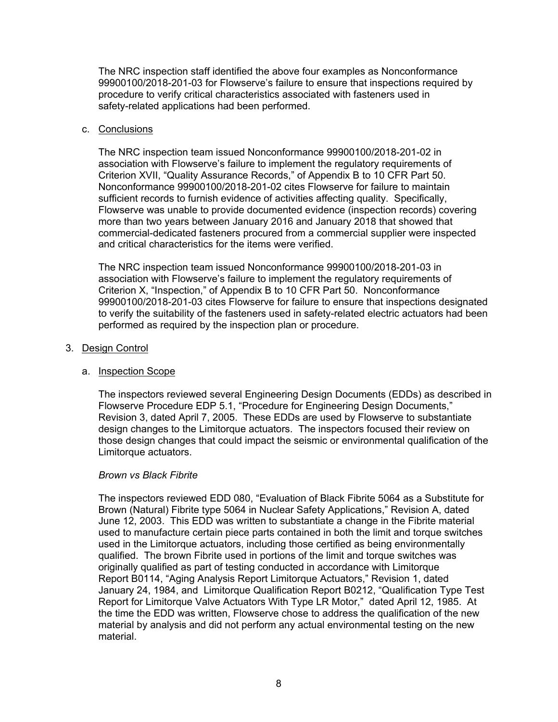The NRC inspection staff identified the above four examples as Nonconformance 99900100/2018-201-03 for Flowserve's failure to ensure that inspections required by procedure to verify critical characteristics associated with fasteners used in safety-related applications had been performed.

## c. Conclusions

The NRC inspection team issued Nonconformance 99900100/2018-201-02 in association with Flowserve's failure to implement the regulatory requirements of Criterion XVII, "Quality Assurance Records," of Appendix B to 10 CFR Part 50. Nonconformance 99900100/2018-201-02 cites Flowserve for failure to maintain sufficient records to furnish evidence of activities affecting quality. Specifically, Flowserve was unable to provide documented evidence (inspection records) covering more than two years between January 2016 and January 2018 that showed that commercial-dedicated fasteners procured from a commercial supplier were inspected and critical characteristics for the items were verified.

The NRC inspection team issued Nonconformance 99900100/2018-201-03 in association with Flowserve's failure to implement the regulatory requirements of Criterion X, "Inspection," of Appendix B to 10 CFR Part 50. Nonconformance 99900100/2018-201-03 cites Flowserve for failure to ensure that inspections designated to verify the suitability of the fasteners used in safety-related electric actuators had been performed as required by the inspection plan or procedure.

## 3. Design Control

# a. Inspection Scope

The inspectors reviewed several Engineering Design Documents (EDDs) as described in Flowserve Procedure EDP 5.1, "Procedure for Engineering Design Documents," Revision 3, dated April 7, 2005. These EDDs are used by Flowserve to substantiate design changes to the Limitorque actuators. The inspectors focused their review on those design changes that could impact the seismic or environmental qualification of the Limitorque actuators.

### *Brown vs Black Fibrite*

The inspectors reviewed EDD 080, "Evaluation of Black Fibrite 5064 as a Substitute for Brown (Natural) Fibrite type 5064 in Nuclear Safety Applications," Revision A, dated June 12, 2003. This EDD was written to substantiate a change in the Fibrite material used to manufacture certain piece parts contained in both the limit and torque switches used in the Limitorque actuators, including those certified as being environmentally qualified. The brown Fibrite used in portions of the limit and torque switches was originally qualified as part of testing conducted in accordance with Limitorque Report B0114, "Aging Analysis Report Limitorque Actuators," Revision 1, dated January 24, 1984, and Limitorque Qualification Report B0212, "Qualification Type Test Report for Limitorque Valve Actuators With Type LR Motor," dated April 12, 1985. At the time the EDD was written, Flowserve chose to address the qualification of the new material by analysis and did not perform any actual environmental testing on the new material.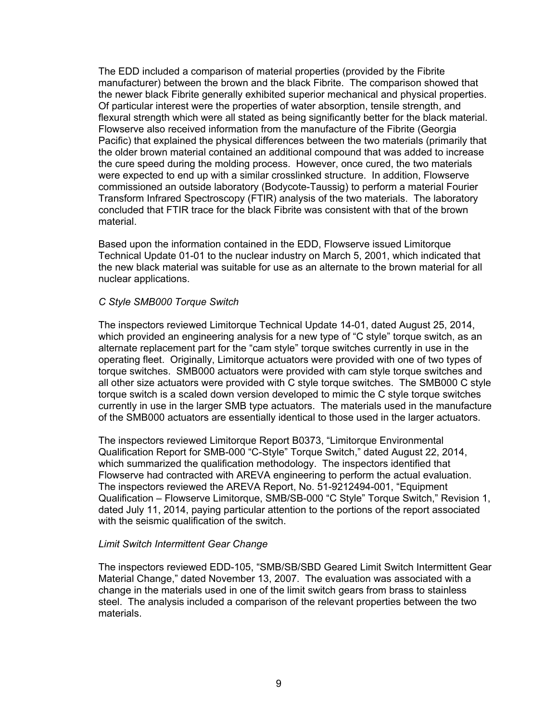The EDD included a comparison of material properties (provided by the Fibrite manufacturer) between the brown and the black Fibrite. The comparison showed that the newer black Fibrite generally exhibited superior mechanical and physical properties. Of particular interest were the properties of water absorption, tensile strength, and flexural strength which were all stated as being significantly better for the black material. Flowserve also received information from the manufacture of the Fibrite (Georgia Pacific) that explained the physical differences between the two materials (primarily that the older brown material contained an additional compound that was added to increase the cure speed during the molding process. However, once cured, the two materials were expected to end up with a similar crosslinked structure. In addition, Flowserve commissioned an outside laboratory (Bodycote-Taussig) to perform a material Fourier Transform Infrared Spectroscopy (FTIR) analysis of the two materials. The laboratory concluded that FTIR trace for the black Fibrite was consistent with that of the brown material.

Based upon the information contained in the EDD, Flowserve issued Limitorque Technical Update 01-01 to the nuclear industry on March 5, 2001, which indicated that the new black material was suitable for use as an alternate to the brown material for all nuclear applications.

## *C Style SMB000 Torque Switch*

The inspectors reviewed Limitorque Technical Update 14-01, dated August 25, 2014, which provided an engineering analysis for a new type of "C style" torque switch, as an alternate replacement part for the "cam style" torque switches currently in use in the operating fleet. Originally, Limitorque actuators were provided with one of two types of torque switches. SMB000 actuators were provided with cam style torque switches and all other size actuators were provided with C style torque switches. The SMB000 C style torque switch is a scaled down version developed to mimic the C style torque switches currently in use in the larger SMB type actuators. The materials used in the manufacture of the SMB000 actuators are essentially identical to those used in the larger actuators.

The inspectors reviewed Limitorque Report B0373, "Limitorque Environmental Qualification Report for SMB-000 "C-Style" Torque Switch," dated August 22, 2014, which summarized the qualification methodology. The inspectors identified that Flowserve had contracted with AREVA engineering to perform the actual evaluation. The inspectors reviewed the AREVA Report, No. 51-9212494-001, "Equipment Qualification – Flowserve Limitorque, SMB/SB-000 "C Style" Torque Switch," Revision 1, dated July 11, 2014, paying particular attention to the portions of the report associated with the seismic qualification of the switch.

### *Limit Switch Intermittent Gear Change*

The inspectors reviewed EDD-105, "SMB/SB/SBD Geared Limit Switch Intermittent Gear Material Change," dated November 13, 2007. The evaluation was associated with a change in the materials used in one of the limit switch gears from brass to stainless steel. The analysis included a comparison of the relevant properties between the two materials.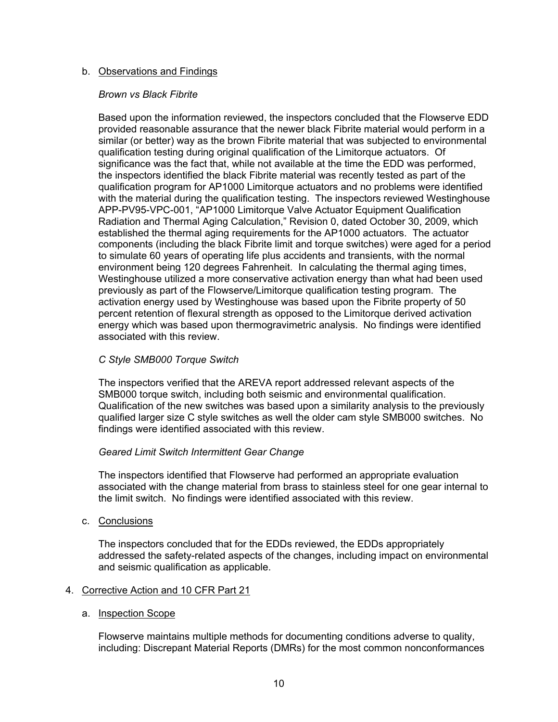## b. Observations and Findings

### *Brown vs Black Fibrite*

Based upon the information reviewed, the inspectors concluded that the Flowserve EDD provided reasonable assurance that the newer black Fibrite material would perform in a similar (or better) way as the brown Fibrite material that was subjected to environmental qualification testing during original qualification of the Limitorque actuators. Of significance was the fact that, while not available at the time the EDD was performed, the inspectors identified the black Fibrite material was recently tested as part of the qualification program for AP1000 Limitorque actuators and no problems were identified with the material during the qualification testing. The inspectors reviewed Westinghouse APP-PV95-VPC-001, "AP1000 Limitorque Valve Actuator Equipment Qualification Radiation and Thermal Aging Calculation," Revision 0, dated October 30, 2009, which established the thermal aging requirements for the AP1000 actuators. The actuator components (including the black Fibrite limit and torque switches) were aged for a period to simulate 60 years of operating life plus accidents and transients, with the normal environment being 120 degrees Fahrenheit. In calculating the thermal aging times, Westinghouse utilized a more conservative activation energy than what had been used previously as part of the Flowserve/Limitorque qualification testing program. The activation energy used by Westinghouse was based upon the Fibrite property of 50 percent retention of flexural strength as opposed to the Limitorque derived activation energy which was based upon thermogravimetric analysis. No findings were identified associated with this review.

## *C Style SMB000 Torque Switch*

The inspectors verified that the AREVA report addressed relevant aspects of the SMB000 torque switch, including both seismic and environmental qualification. Qualification of the new switches was based upon a similarity analysis to the previously qualified larger size C style switches as well the older cam style SMB000 switches. No findings were identified associated with this review.

### *Geared Limit Switch Intermittent Gear Change*

The inspectors identified that Flowserve had performed an appropriate evaluation associated with the change material from brass to stainless steel for one gear internal to the limit switch. No findings were identified associated with this review.

c. Conclusions

The inspectors concluded that for the EDDs reviewed, the EDDs appropriately addressed the safety-related aspects of the changes, including impact on environmental and seismic qualification as applicable.

# 4. Corrective Action and 10 CFR Part 21

### a. Inspection Scope

Flowserve maintains multiple methods for documenting conditions adverse to quality, including: Discrepant Material Reports (DMRs) for the most common nonconformances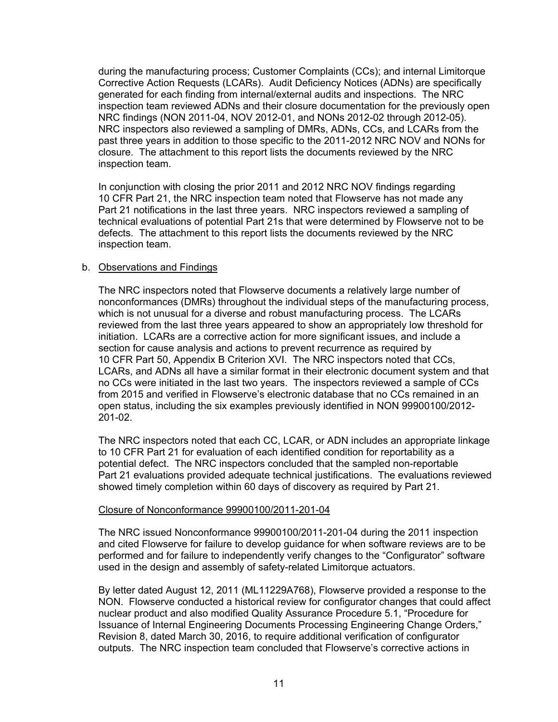during the manufacturing process; Customer Complaints (CCs); and internal Limitorque Corrective Action Requests (LCARs). Audit Deficiency Notices (ADNs) are specifically generated for each finding from internal/external audits and inspections. The NRC inspection team reviewed ADNs and their closure documentation for the previously open NRC findings (NON 2011-04, NOV 2012-01, and NONs 2012-02 through 2012-05). NRC inspectors also reviewed a sampling of DMRs, ADNs, CCs, and LCARs from the past three years in addition to those specific to the 2011-2012 NRC NOV and NONs for closure. The attachment to this report lists the documents reviewed by the NRC inspection team.

In conjunction with closing the prior 2011 and 2012 NRC NOV findings regarding 10 CFR Part 21, the NRC inspection team noted that Flowserve has not made any Part 21 notifications in the last three years. NRC inspectors reviewed a sampling of technical evaluations of potential Part 21s that were determined by Flowserve not to be defects. The attachment to this report lists the documents reviewed by the NRC inspection team.

## b. Observations and Findings

The NRC inspectors noted that Flowserve documents a relatively large number of nonconformances (DMRs) throughout the individual steps of the manufacturing process, which is not unusual for a diverse and robust manufacturing process. The LCARs reviewed from the last three years appeared to show an appropriately low threshold for initiation. LCARs are a corrective action for more significant issues, and include a section for cause analysis and actions to prevent recurrence as required by 10 CFR Part 50, Appendix B Criterion XVI. The NRC inspectors noted that CCs, LCARs, and ADNs all have a similar format in their electronic document system and that no CCs were initiated in the last two years. The inspectors reviewed a sample of CCs from 2015 and verified in Flowserve's electronic database that no CCs remained in an open status, including the six examples previously identified in NON 99900100/2012- 201-02.

The NRC inspectors noted that each CC, LCAR, or ADN includes an appropriate linkage to 10 CFR Part 21 for evaluation of each identified condition for reportability as a potential defect. The NRC inspectors concluded that the sampled non-reportable Part 21 evaluations provided adequate technical justifications. The evaluations reviewed showed timely completion within 60 days of discovery as required by Part 21.

### Closure of Nonconformance 99900100/2011-201-04

The NRC issued Nonconformance 99900100/2011-201-04 during the 2011 inspection and cited Flowserve for failure to develop guidance for when software reviews are to be performed and for failure to independently verify changes to the "Configurator" software used in the design and assembly of safety-related Limitorque actuators.

By letter dated August 12, 2011 (ML11229A768), Flowserve provided a response to the NON. Flowserve conducted a historical review for configurator changes that could affect nuclear product and also modified Quality Assurance Procedure 5.1, "Procedure for Issuance of Internal Engineering Documents Processing Engineering Change Orders," Revision 8, dated March 30, 2016, to require additional verification of configurator outputs. The NRC inspection team concluded that Flowserve's corrective actions in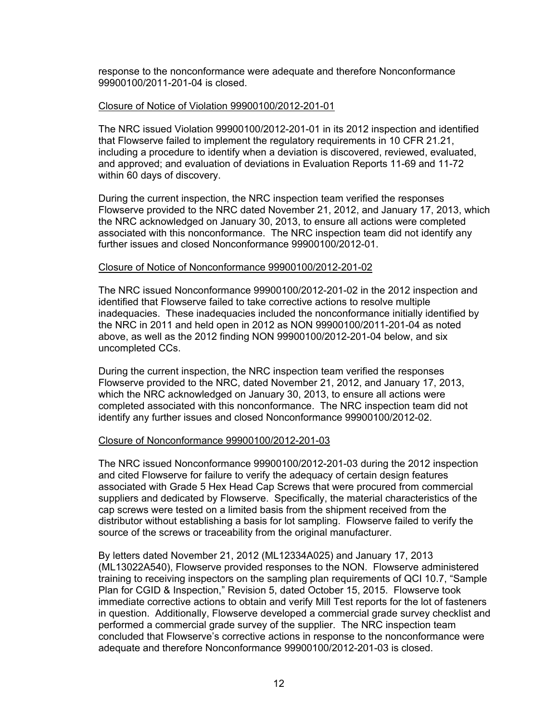response to the nonconformance were adequate and therefore Nonconformance 99900100/2011-201-04 is closed.

#### Closure of Notice of Violation 99900100/2012-201-01

The NRC issued Violation 99900100/2012-201-01 in its 2012 inspection and identified that Flowserve failed to implement the regulatory requirements in 10 CFR 21.21, including a procedure to identify when a deviation is discovered, reviewed, evaluated, and approved; and evaluation of deviations in Evaluation Reports 11-69 and 11-72 within 60 days of discovery.

During the current inspection, the NRC inspection team verified the responses Flowserve provided to the NRC dated November 21, 2012, and January 17, 2013, which the NRC acknowledged on January 30, 2013, to ensure all actions were completed associated with this nonconformance. The NRC inspection team did not identify any further issues and closed Nonconformance 99900100/2012-01.

### Closure of Notice of Nonconformance 99900100/2012-201-02

The NRC issued Nonconformance 99900100/2012-201-02 in the 2012 inspection and identified that Flowserve failed to take corrective actions to resolve multiple inadequacies. These inadequacies included the nonconformance initially identified by the NRC in 2011 and held open in 2012 as NON 99900100/2011-201-04 as noted above, as well as the 2012 finding NON 99900100/2012-201-04 below, and six uncompleted CCs.

During the current inspection, the NRC inspection team verified the responses Flowserve provided to the NRC, dated November 21, 2012, and January 17, 2013, which the NRC acknowledged on January 30, 2013, to ensure all actions were completed associated with this nonconformance. The NRC inspection team did not identify any further issues and closed Nonconformance 99900100/2012-02.

### Closure of Nonconformance 99900100/2012-201-03

The NRC issued Nonconformance 99900100/2012-201-03 during the 2012 inspection and cited Flowserve for failure to verify the adequacy of certain design features associated with Grade 5 Hex Head Cap Screws that were procured from commercial suppliers and dedicated by Flowserve. Specifically, the material characteristics of the cap screws were tested on a limited basis from the shipment received from the distributor without establishing a basis for lot sampling. Flowserve failed to verify the source of the screws or traceability from the original manufacturer.

By letters dated November 21, 2012 (ML12334A025) and January 17, 2013 (ML13022A540), Flowserve provided responses to the NON. Flowserve administered training to receiving inspectors on the sampling plan requirements of QCI 10.7, "Sample Plan for CGID & Inspection," Revision 5, dated October 15, 2015. Flowserve took immediate corrective actions to obtain and verify Mill Test reports for the lot of fasteners in question. Additionally, Flowserve developed a commercial grade survey checklist and performed a commercial grade survey of the supplier. The NRC inspection team concluded that Flowserve's corrective actions in response to the nonconformance were adequate and therefore Nonconformance 99900100/2012-201-03 is closed.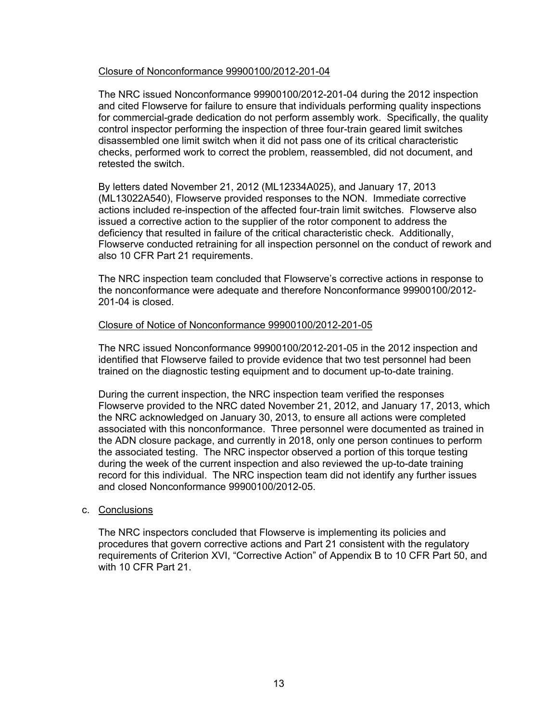## Closure of Nonconformance 99900100/2012-201-04

The NRC issued Nonconformance 99900100/2012-201-04 during the 2012 inspection and cited Flowserve for failure to ensure that individuals performing quality inspections for commercial-grade dedication do not perform assembly work. Specifically, the quality control inspector performing the inspection of three four-train geared limit switches disassembled one limit switch when it did not pass one of its critical characteristic checks, performed work to correct the problem, reassembled, did not document, and retested the switch.

By letters dated November 21, 2012 (ML12334A025), and January 17, 2013 (ML13022A540), Flowserve provided responses to the NON. Immediate corrective actions included re-inspection of the affected four-train limit switches. Flowserve also issued a corrective action to the supplier of the rotor component to address the deficiency that resulted in failure of the critical characteristic check. Additionally, Flowserve conducted retraining for all inspection personnel on the conduct of rework and also 10 CFR Part 21 requirements.

The NRC inspection team concluded that Flowserve's corrective actions in response to the nonconformance were adequate and therefore Nonconformance 99900100/2012- 201-04 is closed.

## Closure of Notice of Nonconformance 99900100/2012-201-05

The NRC issued Nonconformance 99900100/2012-201-05 in the 2012 inspection and identified that Flowserve failed to provide evidence that two test personnel had been trained on the diagnostic testing equipment and to document up-to-date training.

During the current inspection, the NRC inspection team verified the responses Flowserve provided to the NRC dated November 21, 2012, and January 17, 2013, which the NRC acknowledged on January 30, 2013, to ensure all actions were completed associated with this nonconformance. Three personnel were documented as trained in the ADN closure package, and currently in 2018, only one person continues to perform the associated testing. The NRC inspector observed a portion of this torque testing during the week of the current inspection and also reviewed the up-to-date training record for this individual. The NRC inspection team did not identify any further issues and closed Nonconformance 99900100/2012-05.

### c. Conclusions

The NRC inspectors concluded that Flowserve is implementing its policies and procedures that govern corrective actions and Part 21 consistent with the regulatory requirements of Criterion XVI, "Corrective Action" of Appendix B to 10 CFR Part 50, and with 10 CFR Part 21.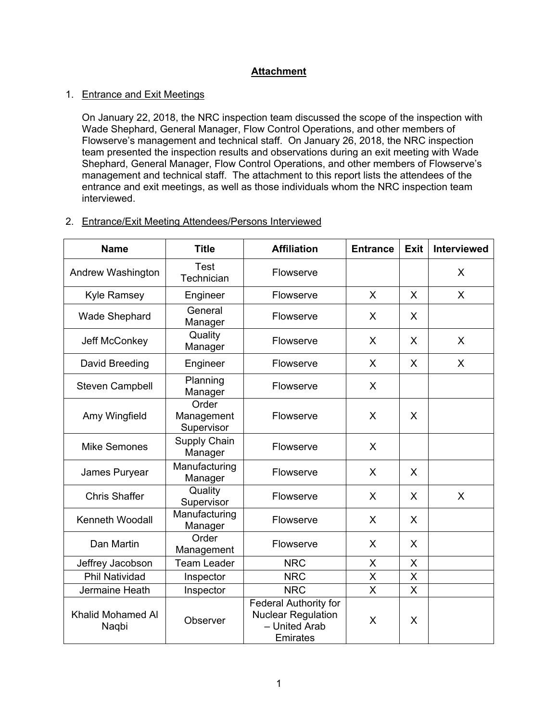# **Attachment**

## 1. Entrance and Exit Meetings

On January 22, 2018, the NRC inspection team discussed the scope of the inspection with Wade Shephard, General Manager, Flow Control Operations, and other members of Flowserve's management and technical staff. On January 26, 2018, the NRC inspection team presented the inspection results and observations during an exit meeting with Wade Shephard, General Manager, Flow Control Operations, and other members of Flowserve's management and technical staff. The attachment to this report lists the attendees of the entrance and exit meetings, as well as those individuals whom the NRC inspection team interviewed.

## 2. Entrance/Exit Meeting Attendees/Persons Interviewed

| <b>Name</b>                | <b>Title</b>                      | <b>Affiliation</b>                                                                     | <b>Entrance</b>         | <b>Exit</b> | <b>Interviewed</b> |
|----------------------------|-----------------------------------|----------------------------------------------------------------------------------------|-------------------------|-------------|--------------------|
| Andrew Washington          | Test<br>Technician                | Flowserve                                                                              |                         |             | X                  |
| <b>Kyle Ramsey</b>         | Engineer                          | Flowserve                                                                              | X                       | X           | X                  |
| <b>Wade Shephard</b>       | General<br>Manager                | Flowserve                                                                              | X                       | X           |                    |
| Jeff McConkey              | Quality<br>Manager                | Flowserve                                                                              | X                       | X           | X                  |
| David Breeding             | Engineer                          | Flowserve                                                                              | X                       | X           | X                  |
| <b>Steven Campbell</b>     | Planning<br>Manager               | Flowserve                                                                              | X                       |             |                    |
| Amy Wingfield              | Order<br>Management<br>Supervisor | Flowserve                                                                              | X                       | X           |                    |
| <b>Mike Semones</b>        | Supply Chain<br>Manager           | Flowserve                                                                              | X                       |             |                    |
| James Puryear              | Manufacturing<br>Manager          | Flowserve                                                                              | X                       | X           |                    |
| <b>Chris Shaffer</b>       | Quality<br>Supervisor             | Flowserve                                                                              | X                       | X           | X                  |
| Kenneth Woodall            | Manufacturing<br>Manager          | Flowserve                                                                              | X                       | X           |                    |
| Dan Martin                 | Order<br>Management               | Flowserve                                                                              | X                       | X           |                    |
| Jeffrey Jacobson           | <b>Team Leader</b>                | <b>NRC</b>                                                                             | X                       | X           |                    |
| <b>Phil Natividad</b>      | Inspector                         | <b>NRC</b>                                                                             | X                       | X           |                    |
| Jermaine Heath             | Inspector                         | <b>NRC</b>                                                                             | $\overline{\mathsf{X}}$ | $\sf X$     |                    |
| Khalid Mohamed Al<br>Naqbi | Observer                          | <b>Federal Authority for</b><br><b>Nuclear Regulation</b><br>- United Arab<br>Emirates | X                       | X           |                    |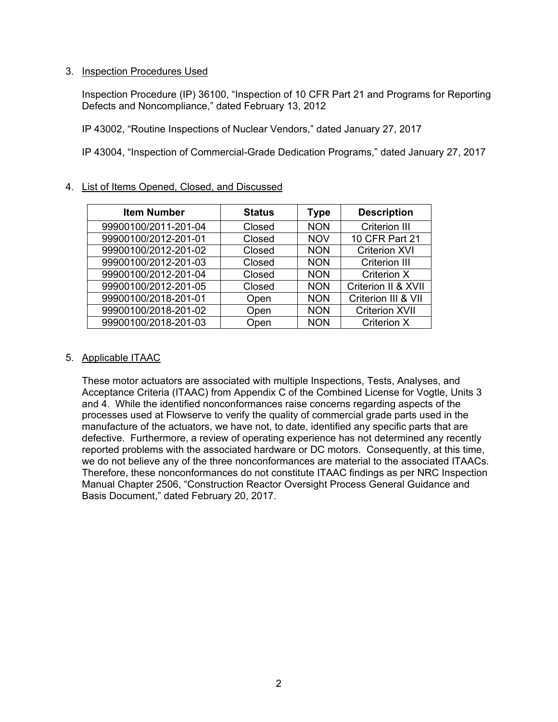## 3. Inspection Procedures Used

Inspection Procedure (IP) 36100, "Inspection of 10 CFR Part 21 and Programs for Reporting Defects and Noncompliance," dated February 13, 2012

IP 43002, "Routine Inspections of Nuclear Vendors," dated January 27, 2017

IP 43004, "Inspection of Commercial-Grade Dedication Programs," dated January 27, 2017

| <b>Item Number</b>   | <b>Status</b> | <b>Type</b> | <b>Description</b>    |
|----------------------|---------------|-------------|-----------------------|
| 99900100/2011-201-04 | Closed        | <b>NON</b>  | Criterion III         |
| 99900100/2012-201-01 | Closed        | <b>NOV</b>  | 10 CFR Part 21        |
| 99900100/2012-201-02 | Closed        | <b>NON</b>  | <b>Criterion XVI</b>  |
| 99900100/2012-201-03 | Closed        | <b>NON</b>  | <b>Criterion III</b>  |
| 99900100/2012-201-04 | Closed        | <b>NON</b>  | <b>Criterion X</b>    |
| 99900100/2012-201-05 | Closed        | <b>NON</b>  | Criterion II & XVII   |
| 99900100/2018-201-01 | Open          | <b>NON</b>  | Criterion III & VII   |
| 99900100/2018-201-02 | Open          | <b>NON</b>  | <b>Criterion XVII</b> |
| 99900100/2018-201-03 | Open          | <b>NON</b>  | Criterion X           |

# 4. List of Items Opened, Closed, and Discussed

# 5. Applicable ITAAC

These motor actuators are associated with multiple Inspections, Tests, Analyses, and Acceptance Criteria (ITAAC) from Appendix C of the Combined License for Vogtle, Units 3 and 4. While the identified nonconformances raise concerns regarding aspects of the processes used at Flowserve to verify the quality of commercial grade parts used in the manufacture of the actuators, we have not, to date, identified any specific parts that are defective. Furthermore, a review of operating experience has not determined any recently reported problems with the associated hardware or DC motors. Consequently, at this time, we do not believe any of the three nonconformances are material to the associated ITAACs. Therefore, these nonconformances do not constitute ITAAC findings as per NRC Inspection Manual Chapter 2506, "Construction Reactor Oversight Process General Guidance and Basis Document," dated February 20, 2017.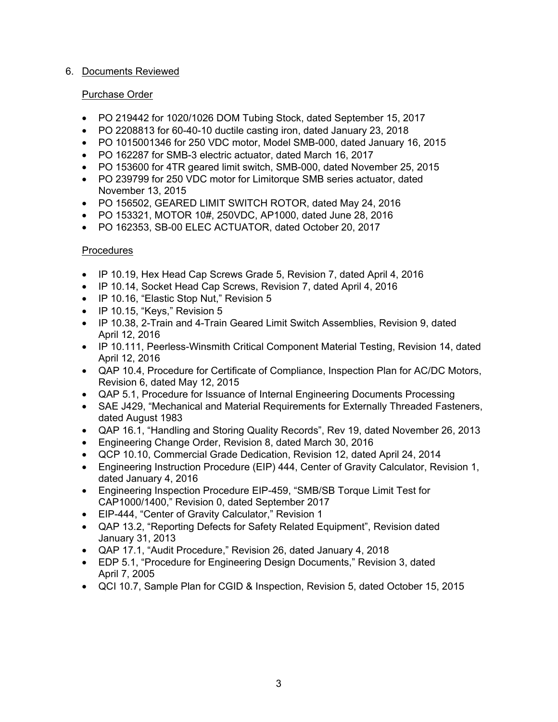# 6. Documents Reviewed

# Purchase Order

- PO 219442 for 1020/1026 DOM Tubing Stock, dated September 15, 2017
- PO 2208813 for 60-40-10 ductile casting iron, dated January 23, 2018
- PO 1015001346 for 250 VDC motor, Model SMB-000, dated January 16, 2015
- PO 162287 for SMB-3 electric actuator, dated March 16, 2017
- PO 153600 for 4TR geared limit switch, SMB-000, dated November 25, 2015
- PO 239799 for 250 VDC motor for Limitorque SMB series actuator, dated November 13, 2015
- PO 156502, GEARED LIMIT SWITCH ROTOR, dated May 24, 2016
- PO 153321, MOTOR 10#, 250VDC, AP1000, dated June 28, 2016
- PO 162353, SB-00 ELEC ACTUATOR, dated October 20, 2017

# **Procedures**

- IP 10.19, Hex Head Cap Screws Grade 5, Revision 7, dated April 4, 2016
- IP 10.14, Socket Head Cap Screws, Revision 7, dated April 4, 2016
- IP 10.16, "Elastic Stop Nut," Revision 5
- IP 10.15, "Keys," Revision 5
- IP 10.38, 2-Train and 4-Train Geared Limit Switch Assemblies, Revision 9, dated April 12, 2016
- IP 10.111, Peerless-Winsmith Critical Component Material Testing, Revision 14, dated April 12, 2016
- QAP 10.4, Procedure for Certificate of Compliance, Inspection Plan for AC/DC Motors, Revision 6, dated May 12, 2015
- QAP 5.1, Procedure for Issuance of Internal Engineering Documents Processing
- SAE J429, "Mechanical and Material Requirements for Externally Threaded Fasteners, dated August 1983
- QAP 16.1, "Handling and Storing Quality Records", Rev 19, dated November 26, 2013
- Engineering Change Order, Revision 8, dated March 30, 2016
- QCP 10.10, Commercial Grade Dedication, Revision 12, dated April 24, 2014
- Engineering Instruction Procedure (EIP) 444, Center of Gravity Calculator, Revision 1, dated January 4, 2016
- Engineering Inspection Procedure EIP-459, "SMB/SB Torque Limit Test for CAP1000/1400," Revision 0, dated September 2017
- EIP-444, "Center of Gravity Calculator," Revision 1
- QAP 13.2, "Reporting Defects for Safety Related Equipment", Revision dated January 31, 2013
- QAP 17.1, "Audit Procedure," Revision 26, dated January 4, 2018
- EDP 5.1, "Procedure for Engineering Design Documents," Revision 3, dated April 7, 2005
- QCI 10.7, Sample Plan for CGID & Inspection, Revision 5, dated October 15, 2015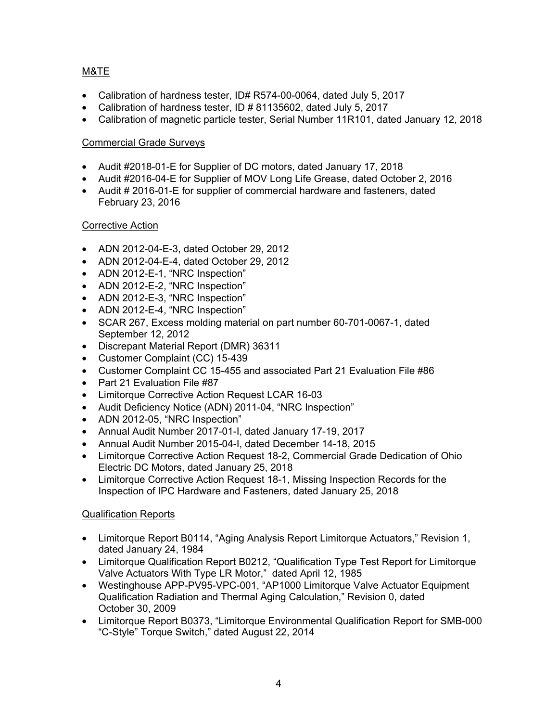# M&TE

- Calibration of hardness tester, ID# R574-00-0064, dated July 5, 2017
- Calibration of hardness tester, ID # 81135602, dated July 5, 2017
- Calibration of magnetic particle tester, Serial Number 11R101, dated January 12, 2018

# Commercial Grade Surveys

- Audit #2018-01-E for Supplier of DC motors, dated January 17, 2018
- Audit #2016-04-E for Supplier of MOV Long Life Grease, dated October 2, 2016
- Audit # 2016-01-E for supplier of commercial hardware and fasteners, dated February 23, 2016

# Corrective Action

- ADN 2012-04-E-3, dated October 29, 2012
- ADN 2012-04-E-4, dated October 29, 2012
- ADN 2012-E-1, "NRC Inspection"
- ADN 2012-E-2, "NRC Inspection"
- ADN 2012-E-3, "NRC Inspection"
- ADN 2012-E-4, "NRC Inspection"
- SCAR 267, Excess molding material on part number 60-701-0067-1, dated September 12, 2012
- Discrepant Material Report (DMR) 36311
- Customer Complaint (CC) 15-439
- Customer Complaint CC 15-455 and associated Part 21 Evaluation File #86
- Part 21 Evaluation File #87
- Limitorque Corrective Action Request LCAR 16-03
- Audit Deficiency Notice (ADN) 2011-04, "NRC Inspection"
- ADN 2012-05, "NRC Inspection"
- Annual Audit Number 2017-01-I, dated January 17-19, 2017
- Annual Audit Number 2015-04-I, dated December 14-18, 2015
- Limitorque Corrective Action Request 18-2, Commercial Grade Dedication of Ohio Electric DC Motors, dated January 25, 2018
- Limitorque Corrective Action Request 18-1, Missing Inspection Records for the Inspection of IPC Hardware and Fasteners, dated January 25, 2018

# Qualification Reports

- Limitorque Report B0114, "Aging Analysis Report Limitorque Actuators," Revision 1, dated January 24, 1984
- Limitorque Qualification Report B0212, "Qualification Type Test Report for Limitorque Valve Actuators With Type LR Motor," dated April 12, 1985
- Westinghouse APP-PV95-VPC-001, "AP1000 Limitorque Valve Actuator Equipment Qualification Radiation and Thermal Aging Calculation," Revision 0, dated October 30, 2009
- Limitorque Report B0373, "Limitorque Environmental Qualification Report for SMB-000 "C-Style" Torque Switch," dated August 22, 2014